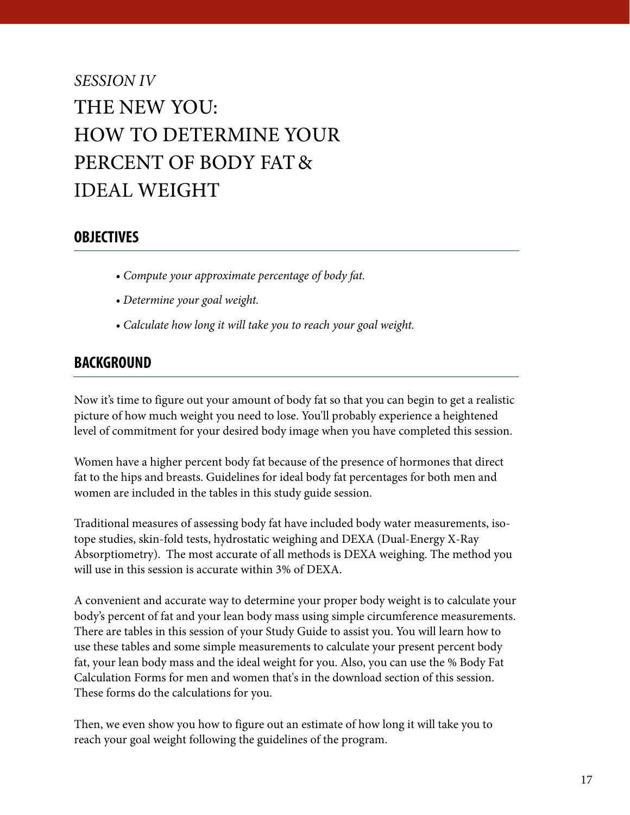## *SESSION IV* THE NEW YOU: HOW TO DETERMINE YOUR PERCENT OF BODY FAT& IDEAL WEIGHT

### **OBJECTIVES**

- *Compute your approximate percentage of body fat.*
- *Determine your goal weight.*
- *Calculate how long it will take you to reach your goal weight.*

### **BACKGROUND**

Now it's time to figure out your amount of body fat so that you can begin to get a realistic picture of how much weight you need to lose. You'll probably experience a heightened level of commitment for your desired body image when you have completed this session.

Women have a higher percent body fat because of the presence of hormones that direct fat to the hips and breasts. Guidelines for ideal body fat percentages for both men and women are included in the tables in this study guide session.

Traditional measures of assessing body fat have included body water measurements, isotope studies, skin-fold tests, hydrostatic weighing and DEXA (Dual-Energy X-Ray Absorptiometry). The most accurate of all methods is DEXA weighing. The method you will use in this session is accurate within 3% of DEXA.

A convenient and accurate way to determine your proper body weight is to calculate your body's percent of fat and your lean body mass using simple circumference measurements. There are tables in this session of your Study Guide to assist you. You will learn how to use these tables and some simple measurements to calculate your present percent body fat, your lean body mass and the ideal weight for you. Also, you can use the % Body Fat Calculation Forms for men and women that's in the download section of this session. These forms do the calculations for you.

Then, we even show you how to figure out an estimate of how long it will take you to reach your goal weight following the guidelines of the program.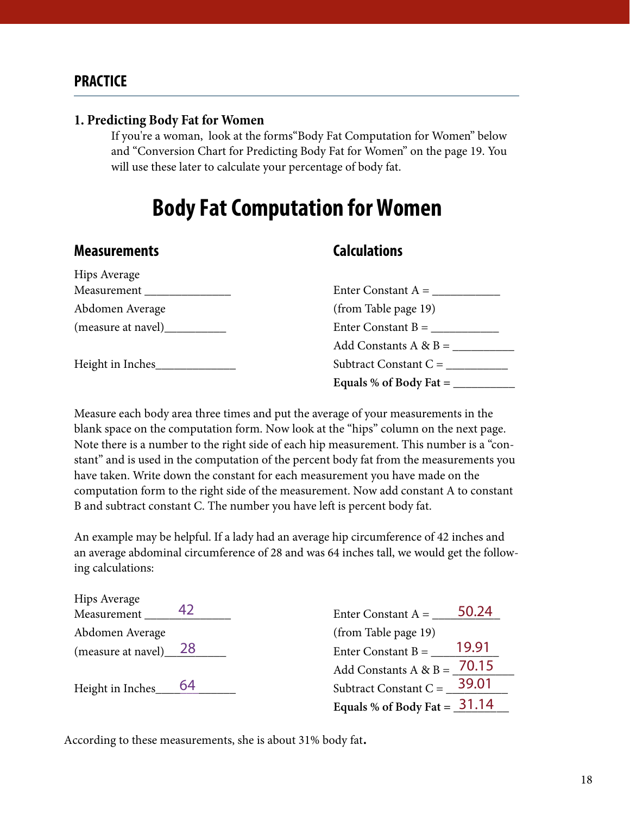### **PRACTICE**

#### **1. Predicting Body Fat for Women**

If you're a woman, look at the forms"Body Fat Computation for Women" below and "Conversion Chart for Predicting Body Fat for Women" on the page 19. You will use these later to calculate your percentage of body fat.

### **Body Fat Computation for Women**

### **Measurements Calculations**

| <b>Hips Average</b> |                                                |
|---------------------|------------------------------------------------|
| Measurement         | Enter Constant $A =$                           |
| Abdomen Average     | (from Table page 19)                           |
| (measure at navel)  | Enter Constant B = $\overline{\phantom{a}}$    |
|                     | Add Constants A & B = $\overline{\phantom{a}}$ |
| Height in Inches    | Subtract Constant $C =$                        |
|                     | Equals % of Body Fat $=$                       |

Measure each body area three times and put the average of your measurements in the blank space on the computation form. Now look at the "hips" column on the next page. Note there is a number to the right side of each hip measurement. This number is a "constant" and is used in the computation of the percent body fat from the measurements you have taken. Write down the constant for each measurement you have made on the computation form to the right side of the measurement. Now add constant A to constant B and subtract constant C. The number you have left is percent body fat.

An example may be helpful. If a lady had an average hip circumference of 42 inches and an average abdominal circumference of 28 and was 64 inches tall, we would get the following calculations:

| Hips Average<br>Measurement | Enter Constant $A =$           | 50.24 |
|-----------------------------|--------------------------------|-------|
| Abdomen Average             | (from Table page 19)           |       |
| (measure at navel) $28$     | Enter Constant $B =$           | 19.91 |
|                             | Add Constants $A & B = 70.15$  |       |
| Height in Inches____ 64     | Subtract Constant C = $29.01$  |       |
|                             | Equals % of Body Fat = $31.14$ |       |

According to these measurements, she is about 31% body fat.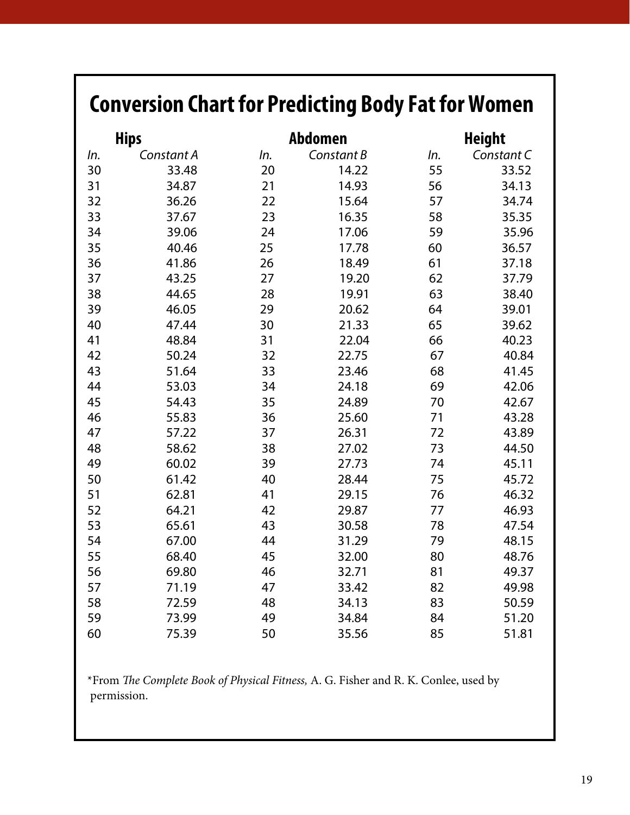# **Conversion Chart for Predicting Body Fat for Women**

|     | <b>Hips</b> | <b>Abdomen</b> |            | <b>Height</b> |            |  |  |  |
|-----|-------------|----------------|------------|---------------|------------|--|--|--|
| In. | Constant A  | In.            | Constant B | In.           | Constant C |  |  |  |
| 30  | 33.48       | 20             | 14.22      | 55            | 33.52      |  |  |  |
| 31  | 34.87       | 21             | 14.93      | 56            | 34.13      |  |  |  |
| 32  | 36.26       | 22             | 15.64      | 57            | 34.74      |  |  |  |
| 33  | 37.67       | 23             | 16.35      | 58            | 35.35      |  |  |  |
| 34  | 39.06       | 24             | 17.06      | 59            | 35.96      |  |  |  |
| 35  | 40.46       | 25             | 17.78      | 60            | 36.57      |  |  |  |
| 36  | 41.86       | 26             | 18.49      | 61            | 37.18      |  |  |  |
| 37  | 43.25       | 27             | 19.20      | 62            | 37.79      |  |  |  |
| 38  | 44.65       | 28             | 19.91      | 63            | 38.40      |  |  |  |
| 39  | 46.05       | 29             | 20.62      | 64            | 39.01      |  |  |  |
| 40  | 47.44       | 30             | 21.33      | 65            | 39.62      |  |  |  |
| 41  | 48.84       | 31             | 22.04      | 66            | 40.23      |  |  |  |
| 42  | 50.24       | 32             | 22.75      | 67            | 40.84      |  |  |  |
| 43  | 51.64       | 33             | 23.46      | 68            | 41.45      |  |  |  |
| 44  | 53.03       | 34             | 24.18      | 69            | 42.06      |  |  |  |
| 45  | 54.43       | 35             | 24.89      | 70            | 42.67      |  |  |  |
| 46  | 55.83       | 36             | 25.60      | 71            | 43.28      |  |  |  |
| 47  | 57.22       | 37             | 26.31      | 72            | 43.89      |  |  |  |
| 48  | 58.62       | 38             | 27.02      | 73            | 44.50      |  |  |  |
| 49  | 60.02       | 39             | 27.73      | 74            | 45.11      |  |  |  |
| 50  | 61.42       | 40             | 28.44      | 75            | 45.72      |  |  |  |
| 51  | 62.81       | 41             | 29.15      | 76            | 46.32      |  |  |  |
| 52  | 64.21       | 42             | 29.87      | 77            | 46.93      |  |  |  |
| 53  | 65.61       | 43             | 30.58      | 78            | 47.54      |  |  |  |
| 54  | 67.00       | 44             | 31.29      | 79            | 48.15      |  |  |  |
| 55  | 68.40       | 45             | 32.00      | 80            | 48.76      |  |  |  |
| 56  | 69.80       | 46             | 32.71      | 81            | 49.37      |  |  |  |
| 57  | 71.19       | 47             | 33.42      | 82            | 49.98      |  |  |  |
| 58  | 72.59       | 48             | 34.13      | 83            | 50.59      |  |  |  |
| 59  | 73.99       | 49             | 34.84      | 84            | 51.20      |  |  |  |
| 60  | 75.39       | 50             | 35.56      | 85            | 51.81      |  |  |  |

\*From *The Complete Book of Physical Fitness,* A. G. Fisher and R. K. Conlee, used by permission.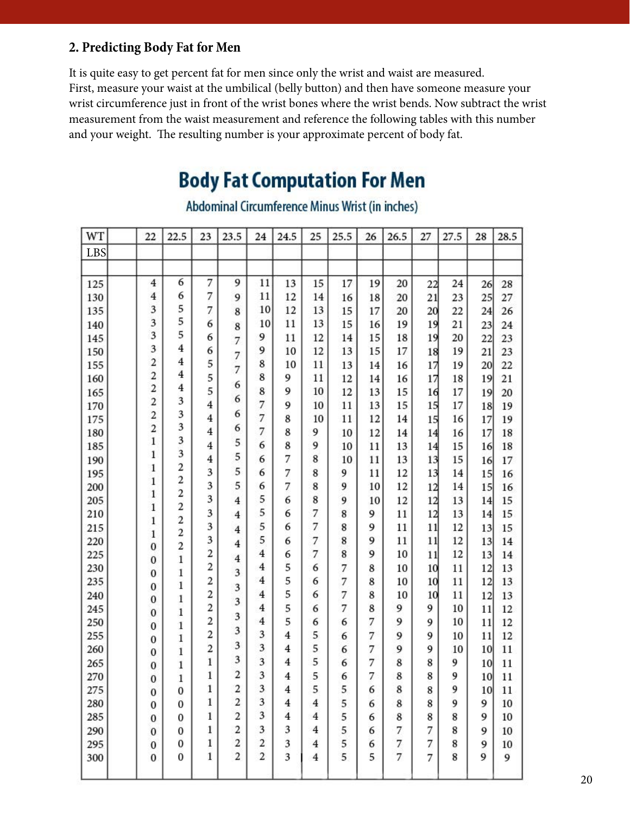### **2. Predicting Body Fat for Men**

It is quite easy to get percent fat for men since only the wrist and waist are measured. First, measure your waist at the umbilical (belly button) and then have someone measure your wrist circumference just in front of the wrist bones where the wrist bends. Now subtract the wrist measurement from the waist measurement and reference the following tables with this number and your weight. The resulting number is your approximate percent of body fat.

### **Body Fat Computation For Men**

| LBS<br>125<br>130<br>135<br>140<br>145<br>150<br>155<br>160 | $\overline{4}$<br>$\overline{4}$<br>3<br>3<br>3<br>3<br>$\overline{c}$<br>$\frac{2}{2}$<br>2<br>$\overline{c}$ | 6<br>6<br>5<br>5<br>5<br>$\overline{4}$<br>$\overline{4}$<br>$\overline{4}$<br>$\overline{4}$<br>3 | 7<br>7<br>$\overline{7}$<br>6<br>6<br>6<br>5<br>5<br>5 | 9<br>9<br>8<br>8<br>7<br>7<br>$\overline{7}$ | 11<br>11<br>10<br>10<br>9<br>9<br>8 | 13<br>12<br>12<br>11<br>11<br>10 | 15<br>14<br>13<br>13<br>12 | 17<br>16<br>15<br>15 | 19<br>18<br>17<br>16 | 20<br>20<br>20 | 22<br>21<br>20<br>19 | 24<br>23<br>22 | 26<br>25<br>24 | 28<br>27<br>26 |
|-------------------------------------------------------------|----------------------------------------------------------------------------------------------------------------|----------------------------------------------------------------------------------------------------|--------------------------------------------------------|----------------------------------------------|-------------------------------------|----------------------------------|----------------------------|----------------------|----------------------|----------------|----------------------|----------------|----------------|----------------|
|                                                             |                                                                                                                |                                                                                                    |                                                        |                                              |                                     |                                  |                            |                      |                      |                |                      |                |                |                |
|                                                             |                                                                                                                |                                                                                                    |                                                        |                                              |                                     |                                  |                            |                      |                      |                |                      |                |                |                |
|                                                             |                                                                                                                |                                                                                                    |                                                        |                                              |                                     |                                  |                            |                      |                      |                |                      |                |                |                |
|                                                             |                                                                                                                |                                                                                                    |                                                        |                                              |                                     |                                  |                            |                      |                      |                |                      |                |                |                |
|                                                             |                                                                                                                |                                                                                                    |                                                        |                                              |                                     |                                  |                            |                      |                      |                |                      |                |                |                |
|                                                             |                                                                                                                |                                                                                                    |                                                        |                                              |                                     |                                  |                            |                      |                      | 19             |                      | 21             | 23             | 24             |
|                                                             |                                                                                                                |                                                                                                    |                                                        |                                              |                                     |                                  |                            | 14                   | 15                   | 18             | 19                   | 20             | 22             | 23             |
|                                                             |                                                                                                                |                                                                                                    |                                                        |                                              |                                     |                                  | 12                         | 13                   | 15                   | 17             | 18                   | 19             | 21             | 23             |
|                                                             |                                                                                                                |                                                                                                    |                                                        |                                              |                                     | 10                               | 11                         | 13                   | 14                   | 16             | 17                   | 19             | 20             | 22             |
|                                                             |                                                                                                                |                                                                                                    |                                                        | 6                                            | 8                                   | 9                                | 11                         | 12                   | 14                   | 16             | 17                   | 18             | 19             | 21             |
| 165                                                         |                                                                                                                |                                                                                                    |                                                        |                                              | 8                                   | 9                                | 10                         | 12                   | 13                   | 15             | 16                   | 17             | 19             | 20             |
| 170                                                         |                                                                                                                |                                                                                                    | $\overline{4}$                                         | 6                                            | 7                                   | 9                                | 10                         | 11                   | 13                   | 15             | 15                   | 17             | 18             | 19             |
| 175                                                         |                                                                                                                | 3                                                                                                  | $\overline{4}$                                         | 6                                            | 7                                   | 8                                | 10                         | 11                   | 12                   | 14             | 15                   | 16             | 17             | 19             |
| 180                                                         | $\overline{c}$                                                                                                 | 3                                                                                                  | $\overline{\mathbf{4}}$                                | 6                                            | 7                                   | 8                                | 9                          | 10                   | 12                   | 14             | 14                   | 16             | 17             | 18             |
| 185                                                         | $\,$ 1                                                                                                         | 3                                                                                                  | $\overline{4}$                                         | 5                                            | 6                                   | 8                                | 9                          | 10                   | 11                   | 13             | 14                   | 15             | 16             | 18             |
| 190                                                         | $\mathbf{1}$                                                                                                   | 3                                                                                                  | $\overline{4}$                                         | 5                                            | 6                                   | 7                                | 8                          | 10                   | 11                   | 13             | 13                   | 15             | 16             | 17             |
| 195                                                         | 1                                                                                                              | $\overline{2}$                                                                                     | 3                                                      | 5                                            | 6                                   | 7                                | 8                          | 9                    | 11                   | 12             | 13                   | 14             | 15             | 16             |
| 200                                                         | 1                                                                                                              | $\overline{2}$                                                                                     | 3                                                      | 5                                            | 6                                   | 7                                | 8                          | 9                    | 10                   | 12             | 12                   | 14             | 15             | 16             |
| 205                                                         | $\mathbf{1}$                                                                                                   | $\overline{c}$                                                                                     | 3                                                      | $\overline{4}$                               | 5                                   | 6                                | 8                          | 9                    | 10                   | 12             | 12                   | 13             | 14             | 15             |
| 210                                                         | $\mathbf{1}$                                                                                                   | $\overline{2}$                                                                                     | 3                                                      | $\overline{\mathbf{4}}$                      | 5                                   | 6                                | 7                          | 8                    | 9                    | 11             | 12                   | 13             | 14             | 15             |
| 215                                                         | $\mathbf{1}$                                                                                                   | $\overline{c}$<br>$\overline{2}$                                                                   | 3                                                      | $\overline{4}$                               | 5                                   | 6                                | 7                          | 8                    | 9                    | 11             | 11                   | 12             | 13             | 15             |
| 220                                                         | $\mathbf 1$                                                                                                    | $\overline{c}$                                                                                     | 3                                                      | $\overline{4}$                               | 5                                   | 6                                | 7                          | 8                    | 9                    | 11             | 11                   | 12             | 13             | 14             |
| 225                                                         | $\bf{0}$                                                                                                       | $\mathbf{1}$                                                                                       | $\overline{c}$                                         | $\overline{4}$                               | 4                                   | 6                                | 7                          | 8                    | 9                    | 10             | 11                   | 12             | 13             | 14             |
| 230                                                         | $\bf{0}$                                                                                                       | $\mathbf{1}$                                                                                       | $\overline{c}$                                         | 3                                            | $\overline{4}$                      | 5                                | 6                          | 7                    | 8                    | 10             | 10                   | 11             | 12             | 13             |
| 235                                                         | $\bf{0}$                                                                                                       | $\mathbf{1}$                                                                                       | 2                                                      |                                              | $\overline{4}$                      | 5                                | 6                          | 7                    | 8                    | 10             | 10                   | 11             | 12             | 13             |
| 240                                                         | 0<br>$\bf{0}$                                                                                                  | 1                                                                                                  | $\overline{2}$                                         | 3                                            | $\overline{4}$                      | 5                                | 6                          | 7                    | 8                    | 10             | 10                   | 11             | 12             | 13             |
| 245                                                         | $\mathbf{0}$                                                                                                   | $\mathbf{1}$                                                                                       | $\overline{2}$                                         | 3                                            | $\overline{4}$                      | 5                                | 6                          | 7                    | 8                    | 9              | 9                    | 10             | 11             | 12             |
| 250                                                         | $\bf{0}$                                                                                                       | $\mathbf{1}$                                                                                       | $\overline{2}$                                         | 3                                            | $\overline{4}$                      | 5                                | 6                          | 6                    | 7                    | 9              | 9                    | 10             | 11             | 12             |
| 255                                                         | $\bf{0}$                                                                                                       | $\mathbf{1}$                                                                                       | 2                                                      | 3                                            | 3                                   | $\overline{\mathbf{4}}$          | 5                          | 6                    | 7                    | 9              | 9                    | 10             | 11             | 12             |
| 260                                                         | $\bf{0}$                                                                                                       | $\mathbf{1}$                                                                                       | $\overline{c}$                                         | 3                                            | 3                                   | $\overline{4}$                   | 5                          | 6                    | 7                    | 9              | 9                    | 10             | 10             | 11             |
| 265                                                         | $\bf{0}$                                                                                                       | $\mathbf{1}$                                                                                       | $\mathbf{1}$                                           | 3                                            | 3                                   | $\overline{\mathbf{4}}$          | 5                          | 6                    | 7                    | 8              | 8                    | 9              | 10             | 11             |
| 270                                                         | $\bf{0}$                                                                                                       | $\mathbf{1}$                                                                                       | $\mathbf{1}$                                           | $\overline{c}$                               | 3                                   | 4                                | 5                          | 6                    | 7                    | 8              | 8                    | 9              | 10             | 11             |
| 275                                                         | 0                                                                                                              | 0                                                                                                  | T                                                      | <sup>z</sup>                                 | 3                                   | $\overline{\mathbf{4}}$          | 5                          | 5                    | 6                    | 8              | 8                    | 9              | 10             | 11             |
| 280                                                         | 0                                                                                                              | 0                                                                                                  | 1                                                      | $\overline{c}$                               | 3                                   | $\overline{4}$                   | 4                          | 5                    | 6                    | 8              | 8                    | 9              | 9              | 10             |
| 285                                                         | $\bf{0}$                                                                                                       | 0                                                                                                  | $\mathbf{1}$                                           | $\overline{c}$                               | 3                                   | 4                                | 4                          | 5                    | 6                    | 8              | 8                    | 8              | 9              | 10             |
| 290                                                         | $\bf{0}$                                                                                                       | 0                                                                                                  | $\mathbf{1}$                                           | 2                                            | 3                                   | 3                                | 4                          | 5                    | 6                    | 7              | 7                    | 8              | 9              | 10             |
| 295                                                         | $\bf{0}$                                                                                                       | 0                                                                                                  | 1                                                      | $\overline{2}$                               | $\overline{\mathbf{c}}$             | 3                                | 4                          | 5                    | 6                    | 7              | 7                    | 8              | 9              | 10             |
| 300                                                         | $\bf{0}$                                                                                                       | 0                                                                                                  | 1                                                      | $\overline{2}$                               | $\overline{2}$                      | 3                                | 4                          | 5                    | 5                    | 7              | 7                    | 8              | 9              | 9              |
|                                                             |                                                                                                                |                                                                                                    |                                                        |                                              |                                     |                                  |                            |                      |                      |                |                      |                |                |                |

Abdominal Circumference Minus Wrist (in inches)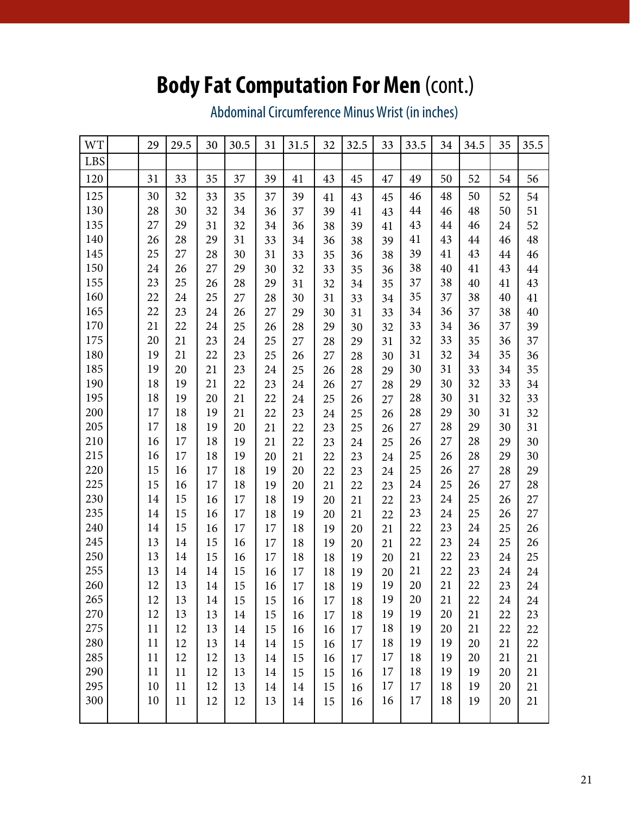# **Body Fat Computation For Men** (cont.)

Abdominal Circumference Minus Wrist (in inches)

| <b>WT</b> | 29 | 29.5 | 30     | 30.5 | 31 | 31.5 | 32 | 32.5 | 33 | 33.5 | 34 | 34.5 | 35 | 35.5 |
|-----------|----|------|--------|------|----|------|----|------|----|------|----|------|----|------|
| LBS       |    |      |        |      |    |      |    |      |    |      |    |      |    |      |
| 120       | 31 | 33   | 35     | 37   | 39 | 41   | 43 | 45   | 47 | 49   | 50 | 52   | 54 | 56   |
| 125       | 30 | 32   | 33     | 35   | 37 | 39   | 41 | 43   | 45 | 46   | 48 | 50   | 52 | 54   |
| 130       | 28 | 30   | 32     | 34   | 36 | 37   | 39 | 41   | 43 | 44   | 46 | 48   | 50 | 51   |
| 135       | 27 | 29   | 31     | 32   | 34 | 36   | 38 | 39   | 41 | 43   | 44 | 46   | 24 | 52   |
| 140       | 26 | 28   | 29     | 31   | 33 | 34   | 36 | 38   | 39 | 41   | 43 | 44   | 46 | 48   |
| 145       | 25 | 27   | 28     | 30   | 31 | 33   | 35 | 36   | 38 | 39   | 41 | 43   | 44 | 46   |
| 150       | 24 | 26   | 27     | 29   | 30 | 32   | 33 | 35   | 36 | 38   | 40 | 41   | 43 | 44   |
| 155       | 23 | 25   | 26     | 28   | 29 | 31   | 32 | 34   | 35 | 37   | 38 | 40   | 41 | 43   |
| 160       | 22 | 24   | 25     | 27   | 28 | 30   | 31 | 33   | 34 | 35   | 37 | 38   | 40 | 41   |
| 165       | 22 | 23   | 24     | 26   | 27 | 29   | 30 | 31   | 33 | 34   | 36 | 37   | 38 | 40   |
| 170       | 21 | 22   | 24     | 25   | 26 | 28   | 29 | 30   | 32 | 33   | 34 | 36   | 37 | 39   |
| 175       | 20 | 21   | 23     | 24   | 25 | 27   | 28 | 29   | 31 | 32   | 33 | 35   | 36 | 37   |
| 180       | 19 | 21   | 22     | 23   | 25 | 26   | 27 | 28   | 30 | 31   | 32 | 34   | 35 | 36   |
| 185       | 19 | 20   | 21     | 23   | 24 | 25   | 26 | 28   | 29 | 30   | 31 | 33   | 34 | 35   |
| 190       | 18 | 19   | 21     | 22   | 23 | 24   | 26 | 27   | 28 | 29   | 30 | 32   | 33 | 34   |
| 195       | 18 | 19   | 20     | 21   | 22 | 24   | 25 | 26   | 27 | 28   | 30 | 31   | 32 | 33   |
| 200       | 17 | 18   | 19     | 21   | 22 | 23   | 24 | 25   | 26 | 28   | 29 | 30   | 31 | 32   |
| 205       | 17 | 18   | 19     | 20   | 21 | 22   | 23 | 25   | 26 | 27   | 28 | 29   | 30 | 31   |
| 210       | 16 | 17   | 18     | 19   | 21 | 22   | 23 | 24   | 25 | 26   | 27 | 28   | 29 | 30   |
| 215       | 16 | 17   | 18     | 19   | 20 | 21   | 22 | 23   | 24 | 25   | 26 | 28   | 29 | 30   |
| 220       | 15 | 16   | 17     | 18   | 19 | 20   | 22 | 23   | 24 | 25   | 26 | 27   | 28 | 29   |
| 225       | 15 | 16   | 17     | 18   | 19 | 20   | 21 | 22   | 23 | 24   | 25 | 26   | 27 | 28   |
| 230       | 14 | 15   | 16     | 17   | 18 | 19   | 20 | 21   | 22 | 23   | 24 | 25   | 26 | 27   |
| 235       | 14 | 15   | 16     | 17   | 18 | 19   | 20 | 21   | 22 | 23   | 24 | 25   | 26 | 27   |
| 240       | 14 | 15   | 16     | 17   | 17 | 18   | 19 | 20   | 21 | 22   | 23 | 24   | 25 | 26   |
| 245       | 13 | 14   | $15\,$ | 16   | 17 | 18   | 19 | 20   | 21 | 22   | 23 | 24   | 25 | 26   |
| 250       | 13 | 14   | 15     | 16   | 17 | 18   | 18 | 19   | 20 | 21   | 22 | 23   | 24 | 25   |
| 255       | 13 | 14   | 14     | 15   | 16 | 17   | 18 | 19   | 20 | 21   | 22 | 23   | 24 | 24   |
| 260       | 12 | 13   | 14     | 15   | 16 | 17   | 18 | 19   | 19 | 20   | 21 | 22   | 23 | 24   |
| 265       | 12 | 13   | 14     | 15   | 15 | 16   | 17 | 18   | 19 | 20   | 21 | 22   | 24 | 24   |
| 270       | 12 | 13   | 13     | 14   | 15 | 16   | 17 | 18   | 19 | 19   | 20 | 21   | 22 | 23   |
| 275       | 11 | 12   | 13     | 14   | 15 | 16   | 16 | 17   | 18 | 19   | 20 | 21   | 22 | 22   |
| 280       | 11 | 12   | 13     | 14   | 14 | 15   | 16 | 17   | 18 | 19   | 19 | 20   | 21 | 22   |
| 285       | 11 | 12   | 12     | 13   | 14 | 15   | 16 | 17   | 17 | 18   | 19 | 20   | 21 | 21   |
| 290       | 11 | 11   | 12     | 13   | 14 | 15   | 15 | 16   | 17 | 18   | 19 | 19   | 20 | 21   |
| 295       | 10 | 11   | 12     | 13   | 14 | 14   | 15 | 16   | 17 | 17   | 18 | 19   | 20 | 21   |
| 300       | 10 | 11   | 12     | 12   | 13 | 14   | 15 | 16   | 16 | 17   | 18 | 19   | 20 | 21   |
|           |    |      |        |      |    |      |    |      |    |      |    |      |    |      |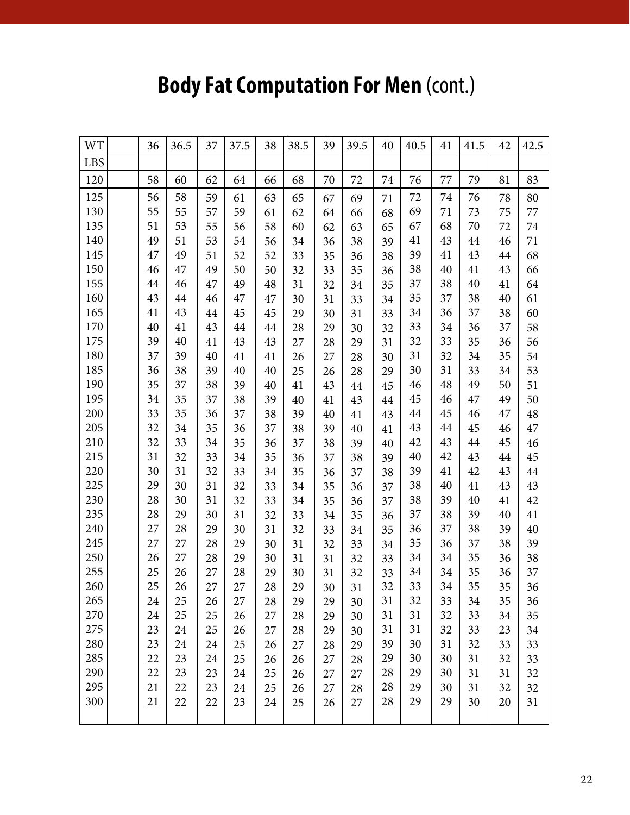# **Body Fat Computation For Men (cont.)**

| <b>WT</b> | 36 | 36.5 | 37 | 37.5 | 38 | 38.5 | 39 | 39.5 | 40 | 40.5 | 41 | 41.5 | 42 | 42.5 |
|-----------|----|------|----|------|----|------|----|------|----|------|----|------|----|------|
| LBS       |    |      |    |      |    |      |    |      |    |      |    |      |    |      |
| 120       | 58 | 60   | 62 | 64   | 66 | 68   | 70 | 72   | 74 | 76   | 77 | 79   | 81 | 83   |
| 125       | 56 | 58   | 59 | 61   | 63 | 65   | 67 | 69   | 71 | 72   | 74 | 76   | 78 | 80   |
| 130       | 55 | 55   | 57 | 59   | 61 | 62   | 64 | 66   | 68 | 69   | 71 | 73   | 75 | 77   |
| 135       | 51 | 53   | 55 | 56   | 58 | 60   | 62 | 63   | 65 | 67   | 68 | 70   | 72 | 74   |
| 140       | 49 | 51   | 53 | 54   | 56 | 34   | 36 | 38   | 39 | 41   | 43 | 44   | 46 | 71   |
| 145       | 47 | 49   | 51 | 52   | 52 | 33   | 35 | 36   | 38 | 39   | 41 | 43   | 44 | 68   |
| 150       | 46 | 47   | 49 | 50   | 50 | 32   | 33 | 35   | 36 | 38   | 40 | 41   | 43 | 66   |
| 155       | 44 | 46   | 47 | 49   | 48 | 31   | 32 | 34   | 35 | 37   | 38 | 40   | 41 | 64   |
| 160       | 43 | 44   | 46 | 47   | 47 | 30   | 31 | 33   | 34 | 35   | 37 | 38   | 40 | 61   |
| 165       | 41 | 43   | 44 | 45   | 45 | 29   | 30 | 31   | 33 | 34   | 36 | 37   | 38 | 60   |
| 170       | 40 | 41   | 43 | 44   | 44 | 28   | 29 | 30   | 32 | 33   | 34 | 36   | 37 | 58   |
| 175       | 39 | 40   | 41 | 43   | 43 | 27   | 28 | 29   | 31 | 32   | 33 | 35   | 36 | 56   |
| 180       | 37 | 39   | 40 | 41   | 41 | 26   | 27 | 28   | 30 | 31   | 32 | 34   | 35 | 54   |
| 185       | 36 | 38   | 39 | 40   | 40 | 25   | 26 | 28   | 29 | 30   | 31 | 33   | 34 | 53   |
| 190       | 35 | 37   | 38 | 39   | 40 | 41   | 43 | 44   | 45 | 46   | 48 | 49   | 50 | 51   |
| 195       | 34 | 35   | 37 | 38   | 39 | 40   | 41 | 43   | 44 | 45   | 46 | 47   | 49 | 50   |
| 200       | 33 | 35   | 36 | 37   | 38 | 39   | 40 | 41   | 43 | 44   | 45 | 46   | 47 | 48   |
| 205       | 32 | 34   | 35 | 36   | 37 | 38   | 39 | 40   | 41 | 43   | 44 | 45   | 46 | 47   |
| 210       | 32 | 33   | 34 | 35   | 36 | 37   | 38 | 39   | 40 | 42   | 43 | 44   | 45 | 46   |
| 215       | 31 | 32   | 33 | 34   | 35 | 36   | 37 | 38   | 39 | 40   | 42 | 43   | 44 | 45   |
| 220       | 30 | 31   | 32 | 33   | 34 | 35   | 36 | 37   | 38 | 39   | 41 | 42   | 43 | 44   |
| 225       | 29 | 30   | 31 | 32   | 33 | 34   | 35 | 36   | 37 | 38   | 40 | 41   | 43 | 43   |
| 230       | 28 | 30   | 31 | 32   | 33 | 34   | 35 | 36   | 37 | 38   | 39 | 40   | 41 | 42   |
| 235       | 28 | 29   | 30 | 31   | 32 | 33   | 34 | 35   | 36 | 37   | 38 | 39   | 40 | 41   |
| 240       | 27 | 28   | 29 | 30   | 31 | 32   | 33 | 34   | 35 | 36   | 37 | 38   | 39 | 40   |
| 245       | 27 | 27   | 28 | 29   | 30 | 31   | 32 | 33   | 34 | 35   | 36 | 37   | 38 | 39   |
| 250       | 26 | 27   | 28 | 29   | 30 | 31   | 31 | 32   | 33 | 34   | 34 | 35   | 36 | 38   |
| 255       | 25 | 26   | 27 | 28   | 29 | 30   | 31 | 32   | 33 | 34   | 34 | 35   | 36 | 37   |
| 260       | 25 | 26   | 27 | 27   | 28 | 29   | 30 | 31   | 32 | 33   | 34 | 35   | 35 | 36   |
| 265       | 24 | 25   | 26 | 27   | 28 | 29   | 29 | 30   | 31 | 32   | 33 | 34   | 35 | 36   |
| 270       | 24 | 25   | 25 | 26   | 27 | 28   | 29 | 30   | 31 | 31   | 32 | 33   | 34 | 35   |
| 275       | 23 | 24   | 25 | 26   | 27 | 28   | 29 | 30   | 31 | 31   | 32 | 33   | 23 | 34   |
| 280       | 23 | 24   | 24 | 25   | 26 | 27   | 28 | 29   | 39 | 30   | 31 | 32   | 33 | 33   |
| 285       | 22 | 23   | 24 | 25   | 26 | 26   | 27 | 28   | 29 | 30   | 30 | 31   | 32 | 33   |
| 290       | 22 | 23   | 23 | 24   | 25 | 26   | 27 | 27   | 28 | 29   | 30 | 31   | 31 | 32   |
| 295       | 21 | 22   | 23 | 24   | 25 | 26   | 27 | 28   | 28 | 29   | 30 | 31   | 32 | 32   |
| 300       | 21 | 22   | 22 | 23   | 24 | 25   | 26 | 27   | 28 | 29   | 29 | 30   | 20 | 31   |
|           |    |      |    |      |    |      |    |      |    |      |    |      |    |      |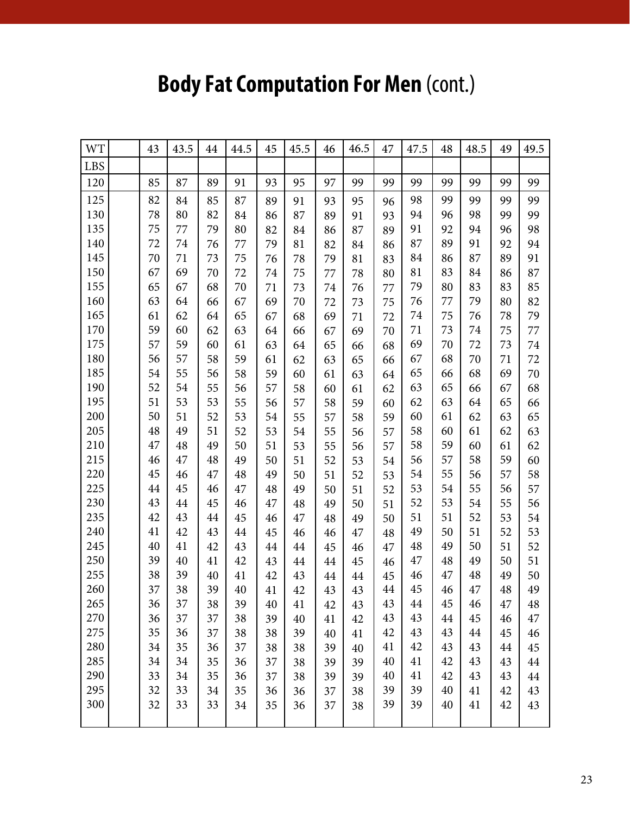# **Body Fat Computation For Men (cont.)**

| <b>WT</b>  | 43 | 43.5 | 44 | 44.5 | 45 | 45.5 | 46 | 46.5 | 47 | 47.5 | 48 | 48.5 | 49 | 49.5 |
|------------|----|------|----|------|----|------|----|------|----|------|----|------|----|------|
| <b>LBS</b> |    |      |    |      |    |      |    |      |    |      |    |      |    |      |
| 120        | 85 | 87   | 89 | 91   | 93 | 95   | 97 | 99   | 99 | 99   | 99 | 99   | 99 | 99   |
| 125        | 82 | 84   | 85 | 87   | 89 | 91   | 93 | 95   | 96 | 98   | 99 | 99   | 99 | 99   |
| 130        | 78 | 80   | 82 | 84   | 86 | 87   | 89 | 91   | 93 | 94   | 96 | 98   | 99 | 99   |
| 135        | 75 | 77   | 79 | 80   | 82 | 84   | 86 | 87   | 89 | 91   | 92 | 94   | 96 | 98   |
| 140        | 72 | 74   | 76 | 77   | 79 | 81   | 82 | 84   | 86 | 87   | 89 | 91   | 92 | 94   |
| 145        | 70 | 71   | 73 | 75   | 76 | 78   | 79 | 81   | 83 | 84   | 86 | 87   | 89 | 91   |
| 150        | 67 | 69   | 70 | 72   | 74 | 75   | 77 | 78   | 80 | 81   | 83 | 84   | 86 | 87   |
| 155        | 65 | 67   | 68 | 70   | 71 | 73   | 74 | 76   | 77 | 79   | 80 | 83   | 83 | 85   |
| 160        | 63 | 64   | 66 | 67   | 69 | 70   | 72 | 73   | 75 | 76   | 77 | 79   | 80 | 82   |
| 165        | 61 | 62   | 64 | 65   | 67 | 68   | 69 | 71   | 72 | 74   | 75 | 76   | 78 | 79   |
| 170        | 59 | 60   | 62 | 63   | 64 | 66   | 67 | 69   | 70 | 71   | 73 | 74   | 75 | 77   |
| 175        | 57 | 59   | 60 | 61   | 63 | 64   | 65 | 66   | 68 | 69   | 70 | 72   | 73 | 74   |
| 180        | 56 | 57   | 58 | 59   | 61 | 62   | 63 | 65   | 66 | 67   | 68 | 70   | 71 | 72   |
| 185        | 54 | 55   | 56 | 58   | 59 | 60   | 61 | 63   | 64 | 65   | 66 | 68   | 69 | 70   |
| 190        | 52 | 54   | 55 | 56   | 57 | 58   | 60 | 61   | 62 | 63   | 65 | 66   | 67 | 68   |
| 195        | 51 | 53   | 53 | 55   | 56 | 57   | 58 | 59   | 60 | 62   | 63 | 64   | 65 | 66   |
| 200        | 50 | 51   | 52 | 53   | 54 | 55   | 57 | 58   | 59 | 60   | 61 | 62   | 63 | 65   |
| 205        | 48 | 49   | 51 | 52   | 53 | 54   | 55 | 56   | 57 | 58   | 60 | 61   | 62 | 63   |
| 210        | 47 | 48   | 49 | 50   | 51 | 53   | 55 | 56   | 57 | 58   | 59 | 60   | 61 | 62   |
| 215        | 46 | 47   | 48 | 49   | 50 | 51   | 52 | 53   | 54 | 56   | 57 | 58   | 59 | 60   |
| 220        | 45 | 46   | 47 | 48   | 49 | 50   | 51 | 52   | 53 | 54   | 55 | 56   | 57 | 58   |
| 225        | 44 | 45   | 46 | 47   | 48 | 49   | 50 | 51   | 52 | 53   | 54 | 55   | 56 | 57   |
| 230        | 43 | 44   | 45 | 46   | 47 | 48   | 49 | 50   | 51 | 52   | 53 | 54   | 55 | 56   |
| 235        | 42 | 43   | 44 | 45   | 46 | 47   | 48 | 49   | 50 | 51   | 51 | 52   | 53 | 54   |
| 240        | 41 | 42   | 43 | 44   | 45 | 46   | 46 | 47   | 48 | 49   | 50 | 51   | 52 | 53   |
| 245        | 40 | 41   | 42 | 43   | 44 | 44   | 45 | 46   | 47 | 48   | 49 | 50   | 51 | 52   |
| 250        | 39 | 40   | 41 | 42   | 43 | 44   | 44 | 45   | 46 | 47   | 48 | 49   | 50 | 51   |
| 255        | 38 | 39   | 40 | 41   | 42 | 43   | 44 | 44   | 45 | 46   | 47 | 48   | 49 | 50   |
| 260        | 37 | 38   | 39 | 40   | 41 | 42   | 43 | 43   | 44 | 45   | 46 | 47   | 48 | 49   |
| 265        | 36 | 37   | 38 | 39   | 40 | 41   | 42 | 43   | 43 | 44   | 45 | 46   | 47 | 48   |
| 270        | 36 | 37   | 37 | 38   | 39 | 40   | 41 | 42   | 43 | 43   | 44 | 45   | 46 | 47   |
| 275        | 35 | 36   | 37 | 38   | 38 | 39   | 40 | 41   | 42 | 43   | 43 | 44   | 45 | 46   |
| 280        | 34 | 35   | 36 | 37   | 38 | 38   | 39 | 40   | 41 | 42   | 43 | 43   | 44 | 45   |
| 285        | 34 | 34   | 35 | 36   | 37 | 38   | 39 | 39   | 40 | 41   | 42 | 43   | 43 | 44   |
| 290        | 33 | 34   | 35 | 36   | 37 | 38   | 39 | 39   | 40 | 41   | 42 | 43   | 43 | 44   |
| 295        | 32 | 33   | 34 | 35   | 36 | 36   | 37 | 38   | 39 | 39   | 40 | 41   | 42 | 43   |
| 300        | 32 | 33   | 33 | 34   | 35 | 36   | 37 | 38   | 39 | 39   | 40 | 41   | 42 | 43   |
|            |    |      |    |      |    |      |    |      |    |      |    |      |    |      |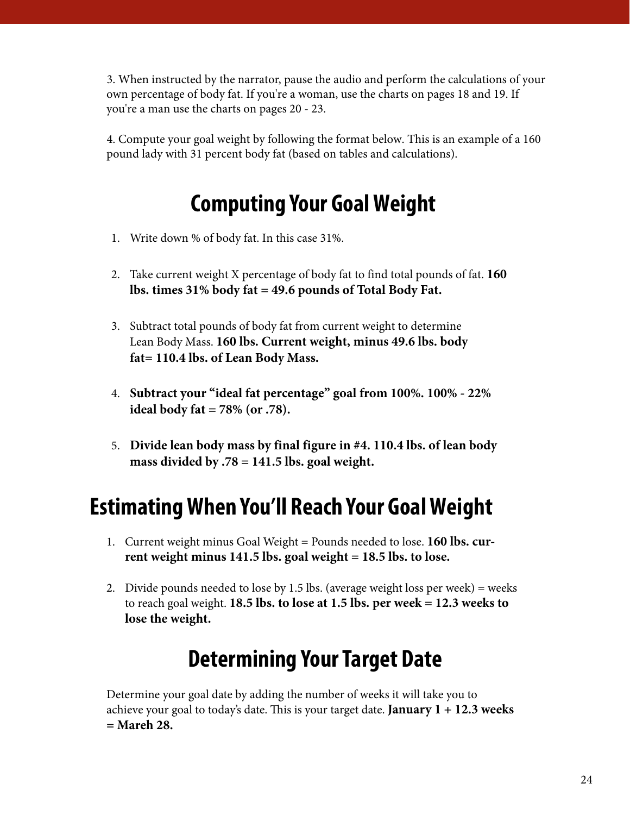3. When instructed by the narrator, pause the audio and perform the calculations of your own percentage of body fat. If you're a woman, use the charts on pages 18 and 19. If you're a man use the charts on pages 20 - 23.

4. Compute your goal weight by following the format below. This is an example of a 160 pound lady with 31 percent body fat (based on tables and calculations).

# **Computing Your Goal Weight**

- 1. Write down % of body fat. In this case 31%.
- 2. Take current weight X percentage of body fat to find total pounds of fat. **160 lbs. times 31% body fat = 49.6 pounds of Total Body Fat.**
- 3. Subtract total pounds of body fat from current weight to determine Lean Body Mass. **160 lbs. Current weight, minus 49.6 lbs. body fat= 110.4 lbs. of Lean Body Mass.**
- 4. **Subtract your "ideal fat percentage" goal from 100%. 100% 22% ideal body fat = 78% (or .78).**
- 5. **Divide lean body mass by final figure in #4. 110.4 lbs. of lean body mass divided by .78 = 141.5 lbs. goal weight.**

# **Estimating When You'll Reach Your Goal Weight**

- 1. Current weight minus Goal Weight = Pounds needed to lose. **160 lbs. current weight minus 141.5 lbs. goal weight = 18.5 lbs. to lose.**
- 2. Divide pounds needed to lose by 1.5 lbs. (average weight loss per week) = weeks to reach goal weight. **18.5 lbs. to lose at 1.5 lbs. per week = 12.3 weeks to lose the weight.**

# **Determining Your Target Date**

Determine your goal date by adding the number of weeks it will take you to achieve your goal to today's date. This is your target date. **January 1 + 12.3 weeks = Mareh 28.**